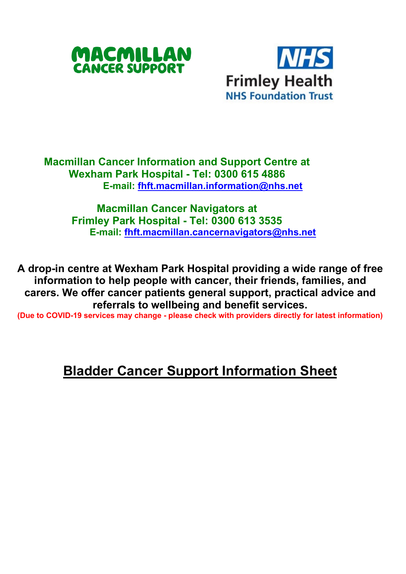



**Macmillan Cancer Information and Support Centre at Wexham Park Hospital - Tel: 0300 615 4886 E-mail: [fhft.macmillan.information@nhs.net](mailto:fhft.macmillan.information@nhs.net)**

> **Macmillan Cancer Navigators at Frimley Park Hospital - Tel: 0300 613 3535 E-mail: [fhft.macmillan.cancernavigators@nhs.net](mailto:fhft.macmillan.cancernavigators@nhs.net)**

**A drop-in centre at Wexham Park Hospital providing a wide range of free information to help people with cancer, their friends, families, and carers. We offer cancer patients general support, practical advice and referrals to wellbeing and benefit services.**

**(Due to COVID-19 services may change - please check with providers directly for latest information)** 

## **Bladder Cancer Support Information Sheet**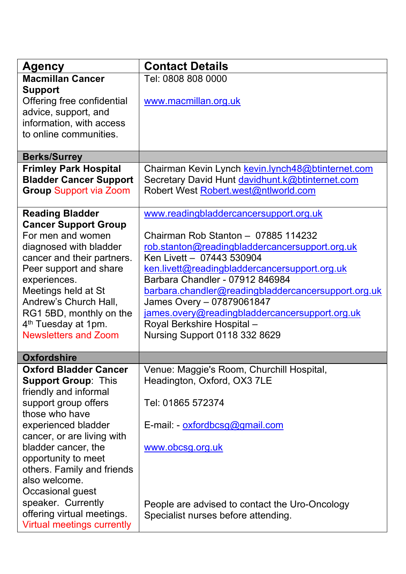| <b>Agency</b>                                                                                                                                                                                                                                                                                                                                                                         | <b>Contact Details</b>                                                                                                                                                                                                                                                                                                                                                                                                                               |
|---------------------------------------------------------------------------------------------------------------------------------------------------------------------------------------------------------------------------------------------------------------------------------------------------------------------------------------------------------------------------------------|------------------------------------------------------------------------------------------------------------------------------------------------------------------------------------------------------------------------------------------------------------------------------------------------------------------------------------------------------------------------------------------------------------------------------------------------------|
| <b>Macmillan Cancer</b><br><b>Support</b><br>Offering free confidential<br>advice, support, and<br>information, with access<br>to online communities.                                                                                                                                                                                                                                 | Tel: 0808 808 0000<br>www.macmillan.org.uk                                                                                                                                                                                                                                                                                                                                                                                                           |
| <b>Berks/Surrey</b>                                                                                                                                                                                                                                                                                                                                                                   |                                                                                                                                                                                                                                                                                                                                                                                                                                                      |
| <b>Frimley Park Hospital</b><br><b>Bladder Cancer Support</b><br><b>Group Support via Zoom</b>                                                                                                                                                                                                                                                                                        | Chairman Kevin Lynch kevin.lynch48@btinternet.com<br>Secretary David Hunt davidhunt.k@btinternet.com<br>Robert West Robert.west@ntlworld.com                                                                                                                                                                                                                                                                                                         |
| <b>Reading Bladder</b><br><b>Cancer Support Group</b><br>For men and women<br>diagnosed with bladder<br>cancer and their partners.<br>Peer support and share<br>experiences.<br>Meetings held at St<br>Andrew's Church Hall,<br>RG1 5BD, monthly on the<br>4 <sup>th</sup> Tuesday at 1pm.<br><b>Newsletters and Zoom</b>                                                             | www.readingbladdercancersupport.org.uk<br>Chairman Rob Stanton - 07885 114232<br>rob.stanton@readingbladdercancersupport.org.uk<br>Ken Livett - 07443 530904<br>ken.livett@readingbladdercancersupport.org.uk<br>Barbara Chandler - 07912 846984<br>barbara.chandler@readingbladdercancersupport.org.uk<br>James Overy - 07879061847<br>james.overy@readingbladdercancersupport.org.uk<br>Royal Berkshire Hospital-<br>Nursing Support 0118 332 8629 |
| <b>Oxfordshire</b>                                                                                                                                                                                                                                                                                                                                                                    |                                                                                                                                                                                                                                                                                                                                                                                                                                                      |
| <b>Oxford Bladder Cancer</b><br><b>Support Group: This</b><br>friendly and informal<br>support group offers<br>those who have<br>experienced bladder<br>cancer, or are living with<br>bladder cancer, the<br>opportunity to meet<br>others. Family and friends<br>also welcome.<br>Occasional guest<br>speaker. Currently<br>offering virtual meetings.<br>Virtual meetings currently | Venue: Maggie's Room, Churchill Hospital,<br>Headington, Oxford, OX3 7LE<br>Tel: 01865 572374<br>E-mail: - oxfordbcsg@gmail.com<br>www.obcsg.org.uk<br>People are advised to contact the Uro-Oncology<br>Specialist nurses before attending.                                                                                                                                                                                                         |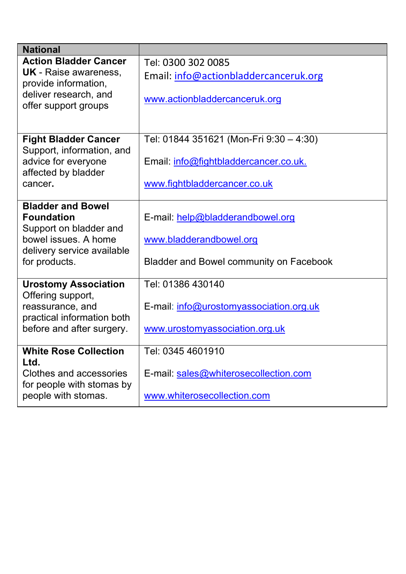| <b>National</b>                                                                                                                                |                                                                                                        |  |
|------------------------------------------------------------------------------------------------------------------------------------------------|--------------------------------------------------------------------------------------------------------|--|
| <b>Action Bladder Cancer</b>                                                                                                                   | Tel: 0300 302 0085                                                                                     |  |
| <b>UK</b> - Raise awareness,                                                                                                                   | Email: info@actionbladdercanceruk.org                                                                  |  |
| provide information,<br>deliver research, and<br>offer support groups                                                                          | www.actionbladdercanceruk.org                                                                          |  |
| <b>Fight Bladder Cancer</b>                                                                                                                    | Tel: 01844 351621 (Mon-Fri 9:30 - 4:30)                                                                |  |
| Support, information, and<br>advice for everyone<br>affected by bladder                                                                        | Email: info@fightbladdercancer.co.uk.                                                                  |  |
| cancer.                                                                                                                                        | www.fightbladdercancer.co.uk                                                                           |  |
| <b>Bladder and Bowel</b><br><b>Foundation</b><br>Support on bladder and<br>bowel issues. A home<br>delivery service available<br>for products. | E-mail: help@bladderandbowel.org<br>www.bladderandbowel.org<br>Bladder and Bowel community on Facebook |  |
| <b>Urostomy Association</b>                                                                                                                    | Tel: 01386 430140                                                                                      |  |
| Offering support,<br>reassurance, and<br>practical information both                                                                            | E-mail: info@urostomyassociation.org.uk                                                                |  |
| before and after surgery.                                                                                                                      | www.urostomyassociation.org.uk                                                                         |  |
| <b>White Rose Collection</b><br>Ltd.                                                                                                           | Tel: 0345 4601910                                                                                      |  |
| Clothes and accessories<br>for people with stomas by                                                                                           | E-mail: sales@whiterosecollection.com                                                                  |  |
| people with stomas.                                                                                                                            | www.whiterosecollection.com                                                                            |  |